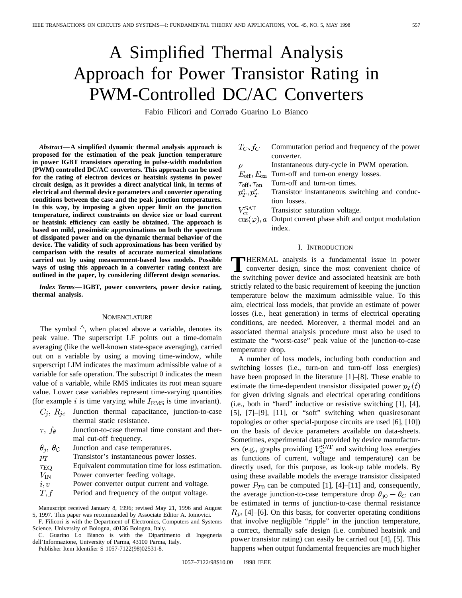# A Simplified Thermal Analysis Approach for Power Transistor Rating in PWM-Controlled DC/AC Converters

Fabio Filicori and Corrado Guarino Lo Bianco

*Abstract—***A simplified dynamic thermal analysis approach is proposed for the estimation of the peak junction temperature in power IGBT transistors operating in pulse-width modulation (PWM) controlled DC/AC converters. This approach can be used for the rating of electron devices or heatsink systems in power circuit design, as it provides a direct analytical link, in terms of electrical and thermal device parameters and converter operating conditions between the case and the peak junction temperatures. In this way, by imposing a given upper limit on the junction temperature, indirect constraints on device size or load current or heatsink efficiency can easily be obtained. The approach is based on mild, pessimistic approximations on both the spectrum of dissipated power and on the dynamic thermal behavior of the device. The validity of such approximations has been verified by comparison with the results of accurate numerical simulations carried out by using measurement-based loss models. Possible ways of using this approach in a converter rating context are outlined in the paper, by considering different design scenarios.**

*Index Terms—***IGBT, power converters, power device rating, thermal analysis.**

#### **NOMENCLATURE**

The symbol  $\wedge$ , when placed above a variable, denotes its peak value. The superscript LF points out a time-domain averaging (like the well-known state-space averaging), carried out on a variable by using a moving time-window, while superscript LIM indicates the maximum admissible value of a variable for safe operation. The subscript 0 indicates the mean value of a variable, while RMS indicates its root mean square value. Lower case variables represent time-varying quantities (for example i is time varying while  $I_{\rm RMS}$  is time invariant).

- $C_i$ ,  $R_{ic}$  Junction thermal capacitance, junction-to-case thermal static resistance.
- $\tau$ ,  $f_{\theta}$ Junction-to-case thermal time constant and thermal cut-off frequency.
- $\theta_j$ ,  $\theta_C$ Junction and case temperatures.
- Transistor's instantaneous power losses.  $p_T$
- Equivalent commutation time for loss estimation.  $\tau_{\text{EO}}$
- $V_{\rm IN}$ Power converter feeding voltage.
- $i, v$ Power converter output current and voltage.
- $T, f$ Period and frequency of the output voltage.

- F. Filicori is with the Department of Electronics, Computers and Systems Science, University of Bologna, 40136 Bologna, Italy.
- C. Guarino Lo Bianco is with the Dipartimento di Ingegneria dell'Informazione, University of Parma, 43100 Parma, Italy.

Publisher Item Identifier S 1057-7122(98)02531-8.

| $T_C, f_C$ Commutation period and frequency of the power |
|----------------------------------------------------------|
| converter.                                               |
|                                                          |

- Instantaneous duty-cycle in PWM operation.  $\rho$
- $E_{\text{off}}$ ,  $E_{\text{on}}$  Turn-off and turn-on energy losses.
- Turn-off and turn-on times.  $\tau_{\textrm{off}}, \tau_{\textrm{on}}$
- $p_T^c, p_T^r$ Transistor instantaneous switching and conduction losses.
- $V_{ce}^{\text{SAT}}$ Transistor saturation voltage.
- $\cos(\varphi)$ , a Output current phase shift and output modulation index.

#### I. INTRODUCTION

**THERMAL** analysis is a fundamental issue in power<br>converter design, since the most convenient choice of<br>the mitchine names design and accorated best in an hath the switching power device and associated heatsink are both strictly related to the basic requirement of keeping the junction temperature below the maximum admissible value. To this aim, electrical loss models, that provide an estimate of power losses (i.e., heat generation) in terms of electrical operating conditions, are needed. Moreover, a thermal model and an associated thermal analysis procedure must also be used to estimate the "worst-case" peak value of the junction-to-case temperature drop.

A number of loss models, including both conduction and switching losses (i.e., turn-on and turn-off loss energies) have been proposed in the literature [1]–[8]. These enable to estimate the time-dependent transistor dissipated power  $p_T(t)$ for given driving signals and electrical operating conditions (i.e., both in "hard" inductive or resistive switching [1], [4], [5], [7]–[9], [11], or "soft" switching when quasiresonant topologies or other special-purpose circuits are used [6], [10]) on the basis of device parameters available on data-sheets. Sometimes, experimental data provided by device manufacturers (e.g., graphs providing  $V_{ce}^{SAT}$  and switching loss energies as functions of current, voltage and temperature) can be directly used, for this purpose, as look-up table models. By using these available models the average transistor dissipated power  $P_{T0}$  can be computed [1], [4]–[11] and, consequently, the average junction-to-case temperature drop  $\theta_{j0} - \theta_C$  can be estimated in terms of junction-to-case thermal resistance  $R_{ic}$  [4]–[6]. On this basis, for converter operating conditions that involve negligible "ripple" in the junction temperature, a correct, thermally safe design (i.e. combined heatsink and power transistor rating) can easily be carried out [4], [5]. This happens when output fundamental frequencies are much higher

Manuscript received January 8, 1996; revised May 21, 1996 and August 5, 1997. This paper was recommended by Associate Editor A. Ioinovici.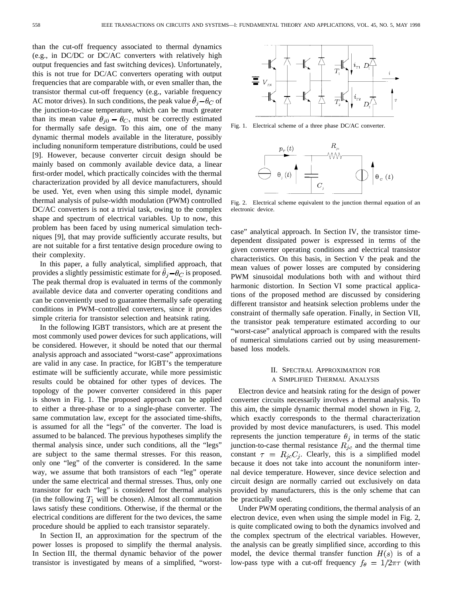than the cut-off frequency associated to thermal dynamics (e.g., in DC/DC or DC/AC converters with relatively high output frequencies and fast switching devices). Unfortunately, this is not true for DC/AC converters operating with output frequencies that are comparable with, or even smaller than, the transistor thermal cut-off frequency (e.g., variable frequency AC motor drives). In such conditions, the peak value  $\theta_i - \theta_C$  of the junction-to-case temperature, which can be much greater than its mean value  $\theta_{j0} - \theta_C$ , must be correctly estimated for thermally safe design. To this aim, one of the many dynamic thermal models available in the literature, possibly including nonuniform temperature distributions, could be used [9]. However, because converter circuit design should be mainly based on commonly available device data, a linear first-order model, which practically coincides with the thermal characterization provided by all device manufacturers, should be used. Yet, even when using this simple model, dynamic thermal analysis of pulse-width modulation (PWM) controlled DC/AC converters is not a trivial task, owing to the complex shape and spectrum of electrical variables. Up to now, this problem has been faced by using numerical simulation techniques [9], that may provide sufficiently accurate results, but are not suitable for a first tentative design procedure owing to their complexity.

In this paper, a fully analytical, simplified approach, that provides a slightly pessimistic estimate for  $\hat{\theta}_i - \theta_C$  is proposed. The peak thermal drop is evaluated in terms of the commonly available device data and converter operating conditions and can be conveniently used to guarantee thermally safe operating conditions in PWM–controlled converters, since it provides simple criteria for transistor selection and heatsink rating.

In the following IGBT transistors, which are at present the most commonly used power devices for such applications, will be considered. However, it should be noted that our thermal analysis approach and associated "worst-case" approximations are valid in any case. In practice, for IGBT's the temperature estimate will be sufficiently accurate, while more pessimistic results could be obtained for other types of devices. The topology of the power converter considered in this paper is shown in Fig. 1. The proposed approach can be applied to either a three-phase or to a single-phase converter. The same commutation law, except for the associated time-shifts, is assumed for all the "legs" of the converter. The load is assumed to be balanced. The previous hypotheses simplify the thermal analysis since, under such conditions, all the "legs" are subject to the same thermal stresses. For this reason, only one "leg" of the converter is considered. In the same way, we assume that both transistors of each "leg" operate under the same electrical and thermal stresses. Thus, only one transistor for each "leg" is considered for thermal analysis (in the following  $T_1$  will be chosen). Almost all commutation laws satisfy these conditions. Otherwise, if the thermal or the electrical conditions are different for the two devices, the same procedure should be applied to each transistor separately.

In Section II, an approximation for the spectrum of the power losses is proposed to simplify the thermal analysis. In Section III, the thermal dynamic behavior of the power transistor is investigated by means of a simplified, "worst-



Fig. 1. Electrical scheme of a three phase DC/AC converter.



Fig. 2. Electrical scheme equivalent to the junction thermal equation of an electronic device.

case" analytical approach. In Section IV, the transistor timedependent dissipated power is expressed in terms of the given converter operating conditions and electrical transistor characteristics. On this basis, in Section V the peak and the mean values of power losses are computed by considering PWM sinusoidal modulations both with and without third harmonic distortion. In Section VI some practical applications of the proposed method are discussed by considering different transistor and heatsink selection problems under the constraint of thermally safe operation. Finally, in Section VII, the transistor peak temperature estimated according to our "worst-case" analytical approach is compared with the results of numerical simulations carried out by using measurementbased loss models.

#### II. SPECTRAL APPROXIMATION FOR A SIMPLIFIED THERMAL ANALYSIS

Electron device and heatsink rating for the design of power converter circuits necessarily involves a thermal analysis. To this aim, the simple dynamic thermal model shown in Fig. 2, which exactly corresponds to the thermal characterization provided by most device manufacturers, is used. This model represents the junction temperature  $\theta_i$  in terms of the static junction-to-case thermal resistance  $R_{jc}$  and the thermal time constant  $\tau = R_{jc}C_j$ . Clearly, this is a simplified model because it does not take into account the nonuniform internal device temperature. However, since device selection and circuit design are normally carried out exclusively on data provided by manufacturers, this is the only scheme that can be practically used.

Under PWM operating conditions, the thermal analysis of an electron device, even when using the simple model in Fig. 2, is quite complicated owing to both the dynamics involved and the complex spectrum of the electrical variables. However, the analysis can be greatly simplified since, according to this model, the device thermal transfer function  $H(s)$  is of a low-pass type with a cut-off frequency  $f_{\theta} = 1/2\pi\tau$  (with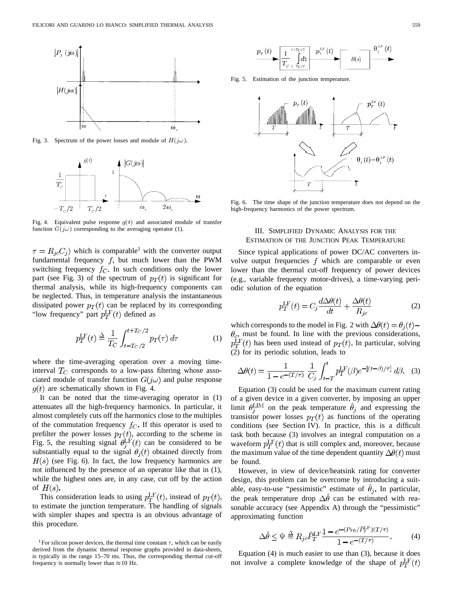

Fig. 3. Spectrum of the power losses and module of  $H(j\omega)$ .



Fig. 4. Equivalent pulse response  $g(t)$  and associated module of transfer function  $G(j\omega)$  corresponding to the averaging operator (1).

 $\tau = R_{jc}C_j$ ) which is comparable<sup>1</sup> with the converter output fundamental frequency  $f$ , but much lower than the PWM switching frequency  $f_C$ . In such conditions only the lower part (see Fig. 3) of the spectrum of  $p_T(t)$  is significant for thermal analysis, while its high-frequency components can be neglected. Thus, in temperature analysis the instantaneous dissipated power  $p_T(t)$  can be replaced by its corresponding "low frequency" part  $p_T^{\text{LF}}(t)$  defined as

$$
p_T^{\rm LF}(t) \stackrel{\Delta}{=} \frac{1}{T_C} \int_{t-T_C/2}^{t+T_C/2} p_T(\tau) d\tau \tag{1}
$$

where the time-averaging operation over a moving timeinterval  $T_C$  corresponds to a low-pass filtering whose associated module of transfer function  $G(j\omega)$  and pulse response  $g(t)$  are schematically shown in Fig. 4.

It can be noted that the time-averaging operator in (1) attenuates all the high-frequency harmonics. In particular, it almost completely cuts off the harmonics close to the multiples of the commutation frequency  $f_C$ . If this operator is used to prefilter the power losses  $p_T(t)$ , according to the scheme in Fig. 5, the resulting signal  $\theta_i^L f(t)$  can be considered to be substantially equal to the signal  $\theta_i(t)$  obtained directly from  $H(s)$  (see Fig. 6). In fact, the low frequency harmonics are not influenced by the presence of an operator like that in (1), while the highest ones are, in any case, cut off by the action of  $H(s)$ .

This consideration leads to using  $p_T^{\text{LF}}(t)$ , instead of  $p_T(t)$ , to estimate the junction temperature. The handling of signals with simpler shapes and spectra is an obvious advantage of this procedure.



Fig. 5. Estimation of the junction temperature.



Fig. 6. The time shape of the junction temperature does not depend on the high-frequency harmonics of the power spectrum.

## III. SIMPLIFIED DYNAMIC ANALYSIS FOR THE ESTIMATION OF THE JUNCTION PEAK TEMPERATURE

Since typical applications of power DC/AC converters involve output frequencies  $f$  which are comparable or even lower than the thermal cut-off frequency of power devices (e.g., variable frequency motor-drives), a time-varying periodic solution of the equation

$$
p_T^{\text{LF}}(t) = C_j \frac{d\Delta\theta(t)}{dt} + \frac{\Delta\theta(t)}{R_{jc}} \tag{2}
$$

which corresponds to the model in Fig. 2 with  $\Delta\theta(t) = \theta_j(t)$  – must be found. In line with the previous considerations, has been used instead of  $p_T(t)$ . In particular, solving (2) for its periodic solution, leads to

$$
\Delta\theta(t) = \frac{1}{1 - e^{-(T/\tau)}} \frac{1}{C_j} \int_{t-T}^{t} p_T^{\text{LF}}(\beta) e^{-[(t-\beta)/\tau]} d\beta. \quad (3)
$$

Equation (3) could be used for the maximum current rating of a given device in a given converter, by imposing an upper limit  $\theta_i^{\text{LIM}}$  on the peak temperature  $\hat{\theta}_i$  and expressing the transistor power losses  $p_T(t)$  as functions of the operating conditions (see Section IV). In practice, this is a difficult task both because (3) involves an integral computation on a waveform  $p_T^{\text{LF}}(t)$  that is still complex and, moreover, because the maximum value of the time dependent quantity  $\Delta\theta(t)$  must be found.

However, in view of device/heatsink rating for converter design, this problem can be overcome by introducing a suitable, easy-to-use "pessimistic" estimate of  $\hat{\theta}_j$ . In particular, the peak temperature drop  $\Delta \hat{\theta}$  can be estimated with reasonable accuracy (see Appendix A) through the "pessimistic" approximating function

$$
\Delta \hat{\theta} \le \Psi \stackrel{\Delta}{=} R_{jc} \hat{P}_T^{\text{LF}} \frac{1 - e^{-(P_{T0}/\hat{P}_T^{\text{LF}})(T/\tau)}}{1 - e^{-(T/\tau)}}. \tag{4}
$$

Equation (4) is much easier to use than (3), because it does not involve a complete knowledge of the shape of  $p_T^{\text{LF}}(t)$ 

<sup>&</sup>lt;sup>1</sup> For silicon power devices, the thermal time constant  $\tau$ , which can be easily derived from the dynamic thermal response graphs provided in data-sheets, is typically in the range 15–70 ms. Thus, the corresponding thermal cut-off frequency is normally lower than  $\approx$  10 Hz.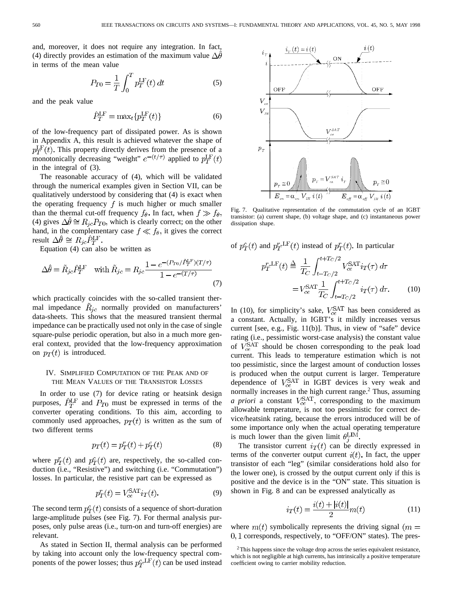and, moreover, it does not require any integration. In fact, (4) directly provides an estimation of the maximum value  $\Delta\theta$ in terms of the mean value

$$
P_{T0} = \frac{1}{T} \int_0^T p_T^{\text{LF}}(t) \, dt \tag{5}
$$

and the peak value

$$
\hat{P}_T^{\text{LF}} = \max_t \{ p_T^{\text{LF}}(t) \} \tag{6}
$$

of the low-frequency part of dissipated power. As is shown in Appendix A, this result is achieved whatever the shape of This property directly derives from the presence of a monotonically decreasing "weight"  $e^{-(t/\tau)}$  applied to in the integral of (3).

The reasonable accuracy of (4), which will be validated through the numerical examples given in Section VII, can be qualitatively understood by considering that (4) is exact when the operating frequency  $f$  is much higher or much smaller than the thermal cut-off frequency  $f_{\theta}$ . In fact, when  $f \gg f_{\theta}$ , (4) gives  $\Delta \hat{\theta} \cong R_{ic} P_{T0}$ , which is clearly correct; on the other hand, in the complementary case  $f \ll f_\theta$ , it gives the correct result  $\Delta \hat{\theta} \cong R_{jc} \hat{P}_T^{\text{LF}}$ .

Equation (4) can also be written as

$$
\Delta \hat{\theta} = \tilde{R}_{jc} \hat{P}_T^{\text{LF}} \quad \text{with } \tilde{R}_{jc} = R_{jc} \frac{1 - e^{-(P_{T0}/\hat{P}_T^{\text{LF}})(T/\tau)}}{1 - e^{-(T/\tau)}} \tag{7}
$$

which practically coincides with the so-called transient thermal impedance  $\ddot{R}_{ic}$  normally provided on manufacturers' data-sheets. This shows that the measured transient thermal impedance can be practically used not only in the case of single square-pulse periodic operation, but also in a much more general context, provided that the low-frequency approximation on  $p_T(t)$  is introduced.

## IV. SIMPLIFIED COMPUTATION OF THE PEAK AND OF THE MEAN VALUES OF THE TRANSISTOR LOSSES

In order to use (7) for device rating or heatsink design purposes,  $\dot{P}_T^{\text{LF}}$  and  $P_{T0}$  must be expressed in terms of the converter operating conditions. To this aim, according to commonly used approaches,  $p_T(t)$  is written as the sum of two different terms

$$
p_T(t) = p_T^r(t) + p_T^c(t)
$$
 (8)

where  $p_T^r(t)$  and  $p_T^c(t)$  are, respectively, the so-called conduction (i.e., "Resistive") and switching (i.e. "Commutation") losses. In particular, the resistive part can be expressed as

$$
p_T^r(t) = V_{ce}^{\text{SAT}} i_T(t). \tag{9}
$$

The second term  $p_T^c(t)$  consists of a sequence of short-duration large-amplitude pulses (see Fig. 7). For thermal analysis purposes, only pulse areas (i.e., turn-on and turn-off energies) are relevant.

As stated in Section II, thermal analysis can be performed by taking into account only the low-frequency spectral components of the power losses; thus  $p_T^{\text{c-LF}}(t)$  can be used instead



Fig. 7. Qualitative representation of the commutation cycle of an IGBT transistor: (a) current shape, (b) voltage shape, and (c) instantaneous power dissipation shape.

of  $p_T^c(t)$  and  $p_T^{r\text{-LF}}(t)$  instead of  $p_T^r(t)$ . In particular

$$
p_T^{r\text{-LF}}(t) \stackrel{\Delta}{=} \frac{1}{T_C} \int_{t - T_C/2}^{t + T_C/2} V_{ce}^{\text{SAT}} i_T(\tau) d\tau \n= V_{ce}^{\text{SAT}} \frac{1}{T_C} \int_{t - T_C/2}^{t + T_C/2} i_T(\tau) d\tau.
$$
\n(10)

In (10), for simplicity's sake,  $V_{ce}^{SAT}$  has been considered as a constant. Actually, in IGBT's it mildly increases versus current [see, e.g., Fig. 11(b)]. Thus, in view of "safe" device rating (i.e., pessimistic worst-case analysis) the constant value of  $V_{ce}^{SAT}$  should be chosen corresponding to the peak load current. This leads to temperature estimation which is not too pessimistic, since the largest amount of conduction losses is produced when the output current is larger. Temperature dependence of  $V_{ce}^{SAT}$  in IGBT devices is very weak and normally increases in the high current range.<sup>2</sup> Thus, assuming *a priori* a constant  $V_{ce}^{\text{SAT}}$ , corresponding to the maximum allowable temperature, is not too pessimistic for correct device/heatsink rating, because the errors introduced will be of some importance only when the actual operating temperature is much lower than the given limit  $\theta_i^{\text{LIM}}$ .

The transistor current  $i_T(t)$  can be directly expressed in terms of the converter output current  $i(t)$ . In fact, the upper transistor of each "leg" (similar considerations hold also for the lower one), is crossed by the output current only if this is positive and the device is in the "ON" state. This situation is shown in Fig. 8 and can be expressed analytically as

$$
i_T(t) = \frac{i(t) + |i(t)|}{2}m(t)
$$
\n(11)

where  $m(t)$  symbolically represents the driving signal ( $m =$ 0, 1 corresponds, respectively, to "OFF/ON" states). The pres-

 $2$ This happens since the voltage drop across the series equivalent resistance, which is not negligible at high currents, has intrinsically a positive temperature coefficient owing to carrier mobility reduction.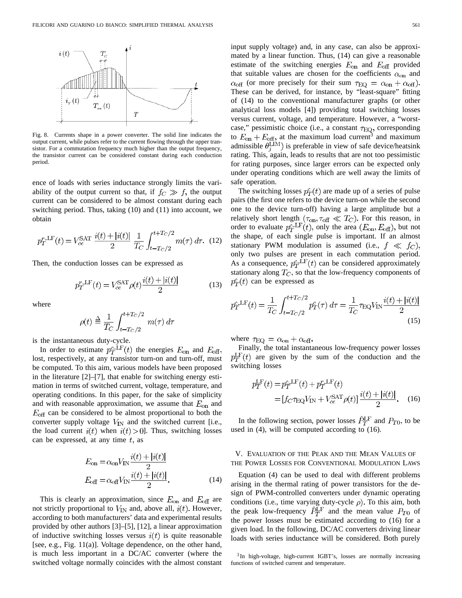

Fig. 8. Currents shape in a power converter. The solid line indicates the output current, while pulses refer to the current flowing through the upper transistor. For a commutation frequency much higher than the output frequency, the transistor current can be considered constant during each conduction period.

ence of loads with series inductance strongly limits the variability of the output current so that, if  $f_C \gg f$ , the output current can be considered to be almost constant during each switching period. Thus, taking (10) and (11) into account, we obtain

$$
p_T^{r\text{-LF}}(t) = V_{ce}^{\text{SAT}} \frac{i(t) + |i(t)|}{2} \frac{1}{T_C} \int_{t - T_C/2}^{t + T_C/2} m(\tau) d\tau. \tag{12}
$$

Then, the conduction losses can be expressed as

$$
p_T^{r\text{-LF}}(t) = V_{ce}^{\text{SAT}} \rho(t) \frac{i(t) + |i(t)|}{2}
$$
 (13)

where

$$
\rho(t) \stackrel{\Delta}{=} \frac{1}{T_C} \int_{t-T_C/2}^{t+T_C/2} m(\tau) d\tau
$$

is the instantaneous duty-cycle.

In order to estimate  $p_T^{c,L}F(t)$  the energies  $E_{on}$  and  $E_{off}$ , lost, respectively, at any transistor turn-on and turn-off, must be computed. To this aim, various models have been proposed in the literature [2]–[7], that enable for switching energy estimation in terms of switched current, voltage, temperature, and operating conditions. In this paper, for the sake of simplicity and with reasonable approximation, we assume that  $E_{on}$  and  $E_{\text{off}}$  can be considered to be almost proportional to both the converter supply voltage  $V_{\text{IN}}$  and the switched current [i.e., the load current  $i(t)$  when  $i(t) > 0$ . Thus, switching losses can be expressed, at any time  $t$ , as

$$
E_{\text{on}} = \alpha_{\text{on}} V_{\text{IN}} \frac{i(t) + |i(t)|}{2}
$$

$$
E_{\text{off}} = \alpha_{\text{off}} V_{\text{IN}} \frac{i(t) + |i(t)|}{2}.
$$
(14)

This is clearly an approximation, since  $E_{on}$  and  $E_{off}$  are not strictly proportional to  $V_{IN}$  and, above all,  $i(t)$ . However, according to both manufacturers' data and experimental results provided by other authors [3]–[5], [12], a linear approximation of inductive switching losses versus  $i(t)$  is quite reasonable [see, e.g., Fig. 11(a)]. Voltage dependence, on the other hand, is much less important in a DC/AC converter (where the switched voltage normally coincides with the almost constant input supply voltage) and, in any case, can also be approximated by a linear function. Thus, (14) can give a reasonable estimate of the switching energies  $E_{on}$  and  $E_{off}$  provided that suitable values are chosen for the coefficients  $\alpha_{on}$  and  $\alpha_{\text{off}}$  (or more precisely for their sum  $\tau_{\text{EQ}} = \alpha_{\text{on}} + \alpha_{\text{off}}$ ). These can be derived, for instance, by "least-square" fitting of (14) to the conventional manufacturer graphs (or other analytical loss models [4]) providing total switching losses versus current, voltage, and temperature. However, a "worstcase," pessimistic choice (i.e., a constant  $\tau_{\text{EQ}}$ , corresponding to  $E_{on} + E_{off}$ , at the maximum load current<sup>3</sup> and maximum admissible  $\theta_i^{\text{LIM}}$ ) is preferable in view of safe device/heatsink rating. This, again, leads to results that are not too pessimistic for rating purposes, since larger errors can be expected only under operating conditions which are well away the limits of safe operation.

The switching losses  $p_T^c(t)$  are made up of a series of pulse pairs (the first one refers to the device turn-on while the second one to the device turn-off) having a large amplitude but a relatively short length  $(\tau_{on}, \tau_{off} \ll T_C)$ . For this reason, in order to evaluate  $p_T^{c\_LF}(t)$ , only the area  $(E_{on}, E_{off})$ , but not the shape, of each single pulse is important. If an almost stationary PWM modulation is assumed (i.e.,  $f \ll f_C$ ), only two pulses are present in each commutation period. As a consequence,  $p_T^{c,\overline{L}F}(t)$  can be considered approximately stationary along  $T_C$ , so that the low-frequency components of  $p_T^c(t)$  can be expressed as

$$
p_T^{c\text{-LF}}(t) = \frac{1}{T_C} \int_{t - T_C/2}^{t + T_C/2} p_T^c(\tau) \, d\tau = \frac{1}{T_C} \tau_{\text{EQ}} V_{\text{IN}} \frac{i(t) + |i(t)|}{2} \tag{15}
$$

where  $\tau_{\text{EQ}} = \alpha_{\text{on}} + \alpha_{\text{off}}$ .

Finally, the total instantaneous low-frequency power losses  $p_T^{\text{LF}}(t)$  are given by the sum of the conduction and the switching losses

$$
p_T^{\text{LF}}(t) = p_T^{\text{c-LF}}(t) + p_T^{\text{r-LF}}(t)
$$
  
=  $[f_C \tau_{\text{EQ}} V_{\text{IN}} + V_{ce}^{\text{SAT}} \rho(t)] \frac{i(t) + |i(t)|}{2}$ . (16)

In the following section, power losses  $\hat{P}_T^{\text{LF}}$  and  $P_{T0}$ , to be used in (4), will be computed according to (16).

# V. EVALUATION OF THE PEAK AND THE MEAN VALUES OF THE POWER LOSSES FOR CONVENTIONAL MODULATION LAWS

Equation (4) can be used to deal with different problems arising in the thermal rating of power transistors for the design of PWM-controlled converters under dynamic operating conditions (i.e., time varying duty-cycle  $\rho$ ). To this aim, both the peak low-frequency  $\hat{P}_{T}^{\text{LF}}$  and the mean value  $P_{T0}$  of the power losses must be estimated according to (16) for a given load. In the following, DC/AC converters driving linear loads with series inductance will be considered. Both purely

 $3$ In high-voltage, high-current IGBT's, losses are normally increasing functions of switched current and temperature.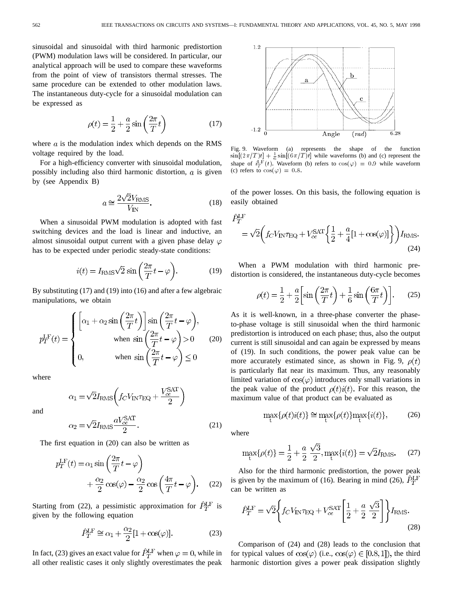sinusoidal and sinusoidal with third harmonic predistortion (PWM) modulation laws will be considered. In particular, our analytical approach will be used to compare these waveforms from the point of view of transistors thermal stresses. The same procedure can be extended to other modulation laws. The instantaneous duty-cycle for a sinusoidal modulation can be expressed as

$$
\rho(t) = \frac{1}{2} + \frac{a}{2}\sin\left(\frac{2\pi}{T}t\right) \tag{17}
$$

where  $\alpha$  is the modulation index which depends on the RMS voltage required by the load.

For a high-efficiency converter with sinusoidal modulation, possibly including also third harmonic distortion,  $a$  is given by (see Appendix B)

$$
a \cong \frac{2\sqrt{2}V_{\text{RMS}}}{V_{\text{IN}}}.\tag{18}
$$

When a sinusoidal PWM modulation is adopted with fast switching devices and the load is linear and inductive, an almost sinusoidal output current with a given phase delay  $\varphi$ has to be expected under periodic steady-state conditions:

$$
i(t) = I_{\text{RMS}}\sqrt{2}\sin\left(\frac{2\pi}{T}t - \varphi\right). \tag{19}
$$

By substituting (17) and (19) into (16) and after a few algebraic manipulations, we obtain

$$
p_T^{\text{LF}}(t) = \begin{cases} \left[ \alpha_1 + \alpha_2 \sin\left(\frac{2\pi}{T}t\right) \right] \sin\left(\frac{2\pi}{T}t - \varphi\right), \\ \text{when } \sin\left(\frac{2\pi}{T}t - \varphi\right) > 0 \quad (20) \\ 0, \qquad \text{when } \sin\left(\frac{2\pi}{T}t - \varphi\right) \le 0 \end{cases}
$$

where

$$
\alpha_1 = \sqrt{2}I_{\text{RMS}} \bigg( f_C V_{\text{IN}} \tau_{\text{EQ}} + \frac{V_{ce}^{\text{SAT}}}{2} \bigg)
$$

and

$$
\alpha_2 = \sqrt{2} I_{\rm RMS} \frac{aV_{ce}^{\rm SAT}}{2}.
$$
\n(21)

The first equation in (20) can also be written as

$$
p_T^{\text{LF}}(t) = \alpha_1 \sin\left(\frac{2\pi}{T}t - \varphi\right) + \frac{\alpha_2}{2} \cos(\varphi) - \frac{\alpha_2}{2} \cos\left(\frac{4\pi}{T}t - \varphi\right). \quad (22)
$$

Starting from (22), a pessimistic approximation for  $\hat{P}_T^{\text{LF}}$  is given by the following equation

$$
\hat{P}_T^{\text{LF}} \cong \alpha_1 + \frac{\alpha_2}{2} [1 + \cos(\varphi)]. \tag{23}
$$

In fact, (23) gives an exact value for  $\hat{P}_T^{\text{LF}}$  when  $\varphi = 0$ , while in all other realistic cases it only slightly overestimates the peak



Fig. 9. Waveform (a) represents the shape of the function  $\sin[(2\pi/T)t] + \frac{1}{6}\sin[(6\pi/T)t]$  while waveforms (b) and (c) represent the shape of  $i_T^{\text{LF}}(t)$ . Waveform (b) refers to  $\cos(\varphi) = 0.9$  while waveform (c) refers to  $\cos(\varphi)=0.8$ .

of the power losses. On this basis, the following equation is easily obtained

$$
\hat{P}_T^{\text{LF}} = \sqrt{2} \left( f_C V_{\text{IN}} \tau_{\text{EQ}} + V_{ce}^{\text{SAT}} \left\{ \frac{1}{2} + \frac{a}{4} [1 + \cos(\varphi)] \right\} \right) I_{\text{RMS}}.
$$
\n(24)

When a PWM modulation with third harmonic predistortion is considered, the instantaneous duty-cycle becomes

$$
\rho(t) = \frac{1}{2} + \frac{a}{2} \left[ \sin\left(\frac{2\pi}{T}t\right) + \frac{1}{6} \sin\left(\frac{6\pi}{T}t\right) \right].
$$
 (25)

As it is well-known, in a three-phase converter the phaseto-phase voltage is still sinusoidal when the third harmonic predistortion is introduced on each phase; thus, also the output current is still sinusoidal and can again be expressed by means of (19). In such conditions, the power peak value can be more accurately estimated since, as shown in Fig. 9,  $\rho(t)$ is particularly flat near its maximum. Thus, any reasonably limited variation of  $cos(\varphi)$  introduces only small variations in the peak value of the product  $\rho(t)i(t)$ . For this reason, the maximum value of that product can be evaluated as

$$
\max_{t} \{\rho(t)i(t)\} \cong \max_{t} \{\rho(t)\} \max_{t} \{i(t)\},\tag{26}
$$

where

$$
\max_{t} \{\rho(t)\} = \frac{1}{2} + \frac{a}{2} \frac{\sqrt{3}}{2}, \max_{t} \{i(t)\} = \sqrt{2}I_{\text{RMS}}.
$$
 (27)

Also for the third harmonic predistortion, the power peak is given by the maximum of (16). Bearing in mind (26),  $\hat{P}_T^{\text{LF}}$ can be written as

$$
\hat{P}_T^{\rm LF} = \sqrt{2} \Bigg\{ f_C V_{\rm IN} \tau_{\rm EQ} + V_{ce}^{\rm SAT} \Bigg[ \frac{1}{2} + \frac{a}{2} \frac{\sqrt{3}}{2} \Bigg] \Bigg\} I_{\rm RMS}.
$$
\n(28)

Comparison of (24) and (28) leads to the conclusion that for typical values of  $cos(\varphi)$  (i.e.,  $cos(\varphi) \in [0.8, 1]$ ), the third harmonic distortion gives a power peak dissipation slightly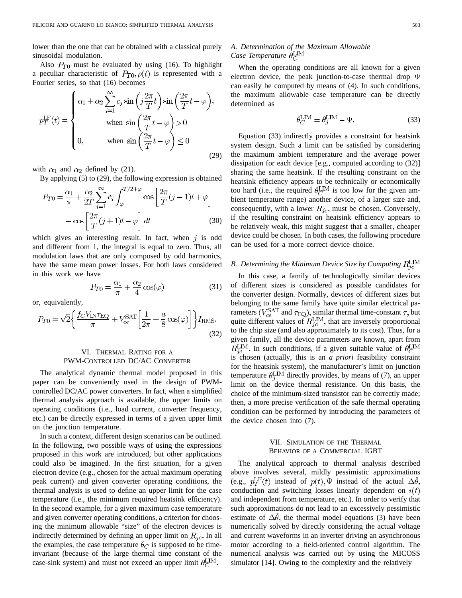lower than the one that can be obtained with a classical purely sinusoidal modulation.

Also  $P_{T0}$  must be evaluated by using (16). To highlight a peculiar characteristic of  $P_{T0}$ ,  $\rho(t)$  is represented with a Fourier series, so that (16) becomes

$$
p_T^{\text{LF}}(t) = \begin{cases} \alpha_1 + \alpha_2 \sum_{j=1}^{\infty} c_j \sin\left(j\frac{2\pi}{T}t\right) \sin\left(\frac{2\pi}{T}t - \varphi\right), \\ \text{when } \sin\left(\frac{2\pi}{T}t - \varphi\right) > 0 \\ 0, \qquad \text{when } \sin\left(\frac{2\pi}{T}t - \varphi\right) \le 0 \end{cases}
$$
(29)

with  $\alpha_1$  and  $\alpha_2$  defined by (21).

By applying (5) to (29), the following expression is obtained

$$
P_{T0} = \frac{\alpha_1}{\pi} + \frac{\alpha_2}{2T} \sum_{j=1}^{\infty} c_j \int_{\varphi}^{T/2+\varphi} \cos\left[\frac{2\pi}{T}(j-1)t + \varphi\right] - \cos\left[\frac{2\pi}{T}(j+1)t - \varphi\right] dt
$$
(30)

which gives an interesting result. In fact, when  $j$  is odd and different from 1, the integral is equal to zero. Thus, all modulation laws that are only composed by odd harmonics, have the same mean power losses. For both laws considered in this work we have

$$
P_{T0} = \frac{\alpha_1}{\pi} + \frac{\alpha_2}{4} \cos(\varphi) \tag{31}
$$

or, equivalently,

$$
P_{T0} = \sqrt{2} \left\{ \frac{f_C V_{\text{IN}} \tau_{\text{EQ}}}{\pi} + V_{ce}^{\text{SAT}} \left[ \frac{1}{2\pi} + \frac{a}{8} \cos(\varphi) \right] \right\} I_{\text{RMS}}.\tag{32}
$$

## VI. THERMAL RATING FOR A PWM-CONTROLLED DC/AC CONVERTER

The analytical dynamic thermal model proposed in this paper can be conveniently used in the design of PWMcontrolled DC/AC power converters. In fact, when a simplified thermal analysis approach is available, the upper limits on operating conditions (i.e., load current, converter frequency, etc.) can be directly expressed in terms of a given upper limit on the junction temperature.

In such a context, different design scenarios can be outlined. In the following, two possible ways of using the expressions proposed in this work are introduced, but other applications could also be imagined. In the first situation, for a given electron device (e.g., chosen for the actual maximum operating peak current) and given converter operating conditions, the thermal analysis is used to define an upper limit for the case temperature (i.e., the minimum required heatsink efficiency). In the second example, for a given maximum case temperature and given converter operating conditions, a criterion for choosing the minimum allowable "size" of the electron devices is indirectly determined by defining an upper limit on  $R_{ic}$ . In all the examples, the case temperature  $\theta_C$  is supposed to be timeinvariant (because of the large thermal time constant of the case-sink system) and must not exceed an upper limit  $\theta_C^{\text{LIM}}$ .

## *A. Determination of the Maximum Allowable Case Temperature*

When the operating conditions are all known for a given electron device, the peak junction-to-case thermal drop  $\Psi$ can easily be computed by means of (4). In such conditions, the maximum allowable case temperature can be directly determined as

$$
\theta_C^{\text{LIM}} = \theta_i^{\text{LIM}} - \Psi. \tag{33}
$$

Equation (33) indirectly provides a constraint for heatsink system design. Such a limit can be satisfied by considering the maximum ambient temperature and the average power dissipation for each device [e.g., computed according to (32)] sharing the same heatsink. If the resulting constraint on the heatsink efficiency appears to be technically or economically too hard (i.e., the required  $\theta_C^{\text{LIM}}$  is too low for the given ambient temperature range) another device, of a larger size and, consequently, with a lower  $R_{ic}$ , must be chosen. Conversely, if the resulting constraint on heatsink efficiency appears to be relatively weak, this might suggest that a smaller, cheaper device could be chosen. In both cases, the following procedure can be used for a more correct device choice.

# *B. Determining the Minimum Device Size by Computing*  $R_{ic}^{\text{LIM}}$

In this case, a family of technologically similar devices of different sizes is considered as possible candidates for the converter design. Normally, devices of different sizes but belonging to the same family have quite similar electrical parameters ( $V_{ce}^{\text{SAT}}$  and  $\tau_{\text{EQ}}$ ), similar thermal time-constant  $\tau$ , but quite different values of  $R_{jc}^{\text{LIM}}$ , that are inversely proportional to the chip size (and also approximately to its cost). Thus, for a given family, all the device parameters are known, apart from  $R_{jc}^{\text{LIM}}$ . In such conditions, if a given suitable value of  $\theta_C^{\text{LIM}}$ is chosen (actually, this is an *a priori* feasibility constraint for the heatsink system), the manufacturer's limit on junction temperature  $\theta_{\rm A}^{\rm LIM}$  directly provides, by means of (7), an upper limit on the device thermal resistance. On this basis, the choice of the minimum-sized transistor can be correctly made; then, a more precise verification of the safe thermal operating condition can be performed by introducing the parameters of the device chosen into (7).

## VII. SIMULATION OF THE THERMAL BEHAVIOR OF A COMMERCIAL IGBT

The analytical approach to thermal analysis described above involves several, mildly pessimistic approximations (e.g.,  $p_T^{\text{LF}}(t)$  instead of  $p(t)$ ,  $\Psi$  instead of the actual  $\Delta\hat{\theta}$ , conduction and switching losses linearly dependent on  $i(t)$ and independent from temperature, etc.). In order to verify that such approximations do not lead to an excessively pessimistic estimate of  $\Delta\hat{\theta}$ , the thermal model equations (3) have been numerically solved by directly considering the actual voltage and current waveforms in an inverter driving an asynchronous motor according to a field-oriented control algorithm. The numerical analysis was carried out by using the MICOSS simulator [14]. Owing to the complexity and the relatively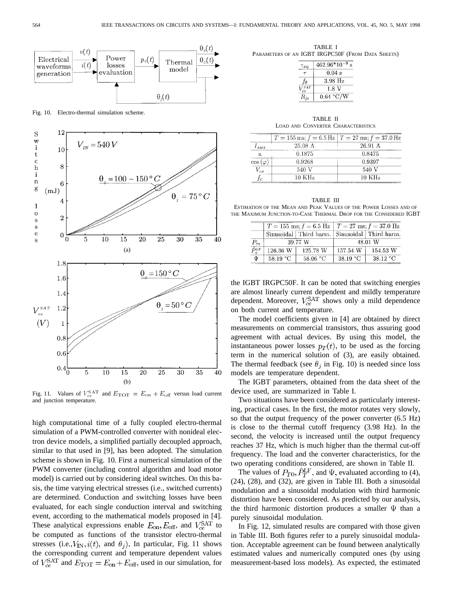

Fig. 10. Electro-thermal simulation scheme.



Fig. 11. Values of  $V_{ce}^{SAT}$  and  $E_{TOT} = E_{on} + E_{off}$  versus load current and junction temperature.

high computational time of a fully coupled electro-thermal simulation of a PWM-controlled converter with nonideal electron device models, a simplified partially decoupled approach, similar to that used in [9], has been adopted. The simulation scheme is shown in Fig. 10. First a numerical simulation of the PWM converter (including control algorithm and load motor model) is carried out by considering ideal switches. On this basis, the time varying electrical stresses (i.e., switched currents) are determined. Conduction and switching losses have been evaluated, for each single conduction interval and switching event, according to the mathematical models proposed in [4]. These analytical expressions enable  $E_{on}$ ,  $E_{off}$ , and  $V_{ce}^{SAT}$  to be computed as functions of the transistor electro-thermal stresses (i.e.,  $V_{IN}$ ,  $i(t)$ , and  $\theta_i$ ). In particular, Fig. 11 shows the corresponding current and temperature dependent values of  $V_{ce}^{SAT}$  and  $E_{TOT} = E_{on} + E_{off}$ , used in our simulation, for

TABLE I PARAMETERS OF AN IGBT IRGPC50F (FROM DATA SHEETS)

| $\tau_{\scriptscriptstyle EQ}$ | $462.96*10^{-9}$          |
|--------------------------------|---------------------------|
|                                | $0.04~{\rm s}$            |
| fθ                             | $3.98$ Hz                 |
| $\overline{V_{ce}^{SAT}}$      | 1.8 V                     |
| $R_{ic}$                       | $0.64~^\circ\mathrm{C/W}$ |

TABLE II LOAD AND CONVERTER CHARACTERISTICS

|                             | $T = 155 \,\mathrm{ms}$ ; $f = 6.5 \,\mathrm{Hz}$   $T = 27 \,\mathrm{ms}$ ; $f = 37.0 \,\mathrm{Hz}$ |         |
|-----------------------------|-------------------------------------------------------------------------------------------------------|---------|
| $I_{RMS}$                   | 25.08 A                                                                                               | 26.91 A |
| а.                          | 0.1875                                                                                                | 0.8475  |
| $\cos{(\varphi)}$           | 0.9268                                                                                                | 0.9397  |
| $V_{\scriptscriptstyle IN}$ | 540 V                                                                                                 | 540 V   |
|                             | $10 \text{ KHz}$                                                                                      | 10 KHz  |

TABLE III ESTIMATION OF THE MEAN AND PEAK VALUES OF THE POWER LOSSES AND OF THE MAXIMUM JUNCTION-TO-CASE THERMAL DROP FOR THE CONSIDERED IGBT

|                     | $T = 155$ ms; $f = 6.5$ Hz $T = 27$ ms; $f = 37.0$ Hz |                                                     |          |          |
|---------------------|-------------------------------------------------------|-----------------------------------------------------|----------|----------|
|                     |                                                       | Sinusoidal   Third harm.   Sinusoidal   Third harm. |          |          |
| $P_{\tau n}$        | 39.77 W                                               |                                                     | 48.01 W  |          |
| $\hat{P}_\tau^{LF}$ | 126.36 W                                              | 125.78 W                                            | 157.54 W | 154.53 W |
| v                   | 58.19 °C                                              | 58.06 °C                                            | 38.19 °C | 38.12 °C |

the IGBT IRGPC50F. It can be noted that switching energies are almost linearly current dependent and mildly temperature dependent. Moreover,  $V_{ce}^{SAT}$  shows only a mild dependence on both current and temperature.

The model coefficients given in [4] are obtained by direct measurements on commercial transistors, thus assuring good agreement with actual devices. By using this model, the instantaneous power losses  $p_T(t)$ , to be used as the forcing term in the numerical solution of (3), are easily obtained. The thermal feedback (see  $\theta_i$  in Fig. 10) is needed since loss models are temperature dependent.

The IGBT parameters, obtained from the data sheet of the device used, are summarized in Table I.

Two situations have been considered as particularly interesting, practical cases. In the first, the motor rotates very slowly, so that the output frequency of the power converter (6.5 Hz) is close to the thermal cutoff frequency (3.98 Hz). In the second, the velocity is increased until the output frequency reaches 37 Hz, which is much higher than the thermal cut-off frequency. The load and the converter characteristics, for the two operating conditions considered, are shown in Table II.

The values of  $P_{T0}$ ,  $\hat{P}_T^{\text{LF}}$ , and  $\Psi$ , evaluated according to (4), (24), (28), and (32), are given in Table III. Both a sinusoidal modulation and a sinusoidal modulation with third harmonic distortion have been considered. As predicted by our analysis, the third harmonic distortion produces a smaller  $\Psi$  than a purely sinusoidal modulation.

In Fig. 12, simulated results are compared with those given in Table III. Both figures refer to a purely sinusoidal modulation. Acceptable agreement can be found between analytically estimated values and numerically computed ones (by using measurement-based loss models). As expected, the estimated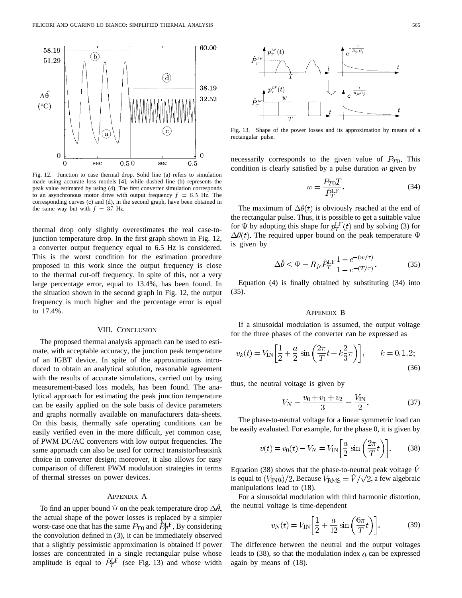

Fig. 12. Junction to case thermal drop. Solid line (a) refers to simulation made using accurate loss models [4], while dashed line (b) represents the peak value estimated by using (4). The first converter simulation corresponds to an asynchronous motor drive with output frequency  $f = 6.5$  Hz. The corresponding curves (c) and (d), in the second graph, have been obtained in the same way but with  $f = 37$  Hz.

thermal drop only slightly overestimates the real case-tojunction temperature drop. In the first graph shown in Fig. 12, a converter output frequency equal to 6.5 Hz is considered. This is the worst condition for the estimation procedure proposed in this work since the output frequency is close to the thermal cut-off frequency. In spite of this, not a very large percentage error, equal to 13.4%, has been found. In the situation shown in the second graph in Fig. 12, the output frequency is much higher and the percentage error is equal to 17.4%.

#### VIII. CONCLUSION

The proposed thermal analysis approach can be used to estimate, with acceptable accuracy, the junction peak temperature of an IGBT device. In spite of the approximations introduced to obtain an analytical solution, reasonable agreement with the results of accurate simulations, carried out by using measurement-based loss models, has been found. The analytical approach for estimating the peak junction temperature can be easily applied on the sole basis of device parameters and graphs normally available on manufacturers data-sheets. On this basis, thermally safe operating conditions can be easily verified even in the more difficult, yet common case, of PWM DC/AC converters with low output frequencies. The same approach can also be used for correct transistor/heatsink choice in converter design; moreover, it also allows for easy comparison of different PWM modulation strategies in terms of thermal stresses on power devices.

#### APPENDIX A

To find an upper bound  $\Psi$  on the peak temperature drop  $\Delta\theta$ . the actual shape of the power losses is replaced by a simpler worst-case one that has the same  $P_{T0}$  and  $\hat{P}_T^{\text{LF}}$ . By considering the convolution defined in (3), it can be immediately observed that a slightly pessimistic approximation is obtained if power losses are concentrated in a single rectangular pulse whose amplitude is equal to  $\hat{P}_T^{\text{LF}}$  (see Fig. 13) and whose width



Fig. 13. Shape of the power losses and its approximation by means of a rectangular pulse.

necessarily corresponds to the given value of  $P_{T0}$ . This condition is clearly satisfied by a pulse duration  $w$  given by

$$
w = \frac{P_{T0}T}{\hat{P}_T^{\text{LF}}}.
$$
\n(34)

The maximum of  $\Delta\theta(t)$  is obviously reached at the end of the rectangular pulse. Thus, it is possible to get a suitable value for  $\Psi$  by adopting this shape for  $p_T^{\text{LF}}(t)$  and by solving (3) for  $\Delta\theta(t)$ . The required upper bound on the peak temperature  $\Psi$ is given by

$$
\Delta \hat{\theta} \le \Psi = R_{jc} \hat{P}_T^{\text{LF}} \frac{1 - e^{-(w/\tau)}}{1 - e^{-(T/\tau)}}.
$$
\n(35)

Equation (4) is finally obtained by substituting (34) into (35).

#### APPENDIX B

If a sinusoidal modulation is assumed, the output voltage for the three phases of the converter can be expressed as

$$
v_k(t) = V_{\text{IN}} \left[ \frac{1}{2} + \frac{a}{2} \sin\left(\frac{2\pi}{T}t + k\frac{2}{3}\pi\right) \right], \qquad k = 0, 1, 2;
$$
\n(36)

thus, the neutral voltage is given by

$$
V_N = \frac{v_0 + v_1 + v_2}{3} = \frac{V_{\text{IN}}}{2}.
$$
 (37)

The phase-to-neutral voltage for a linear symmetric load can be easily evaluated. For example, for the phase 0, it is given by

$$
v(t) = v_0(t) - V_N = V_{\rm IN} \left[ \frac{a}{2} \sin\left(\frac{2\pi}{T}t\right) \right].
$$
 (38)

Equation (38) shows that the phase-to-neutral peak voltage  $\hat{V}$ is equal to  $(V_{\text{IN}}a)/2$ . Because  $V_{\text{RMS}} = \hat{V}/\sqrt{2}$ , a few algebraic manipulations lead to (18).

For a sinusoidal modulation with third harmonic distortion, the neutral voltage is time-dependent

$$
v_N(t) = V_{\text{IN}} \left[ \frac{1}{2} + \frac{a}{12} \sin\left(\frac{6\pi}{T}t\right) \right].
$$
 (39)

The difference between the neutral and the output voltages leads to  $(38)$ , so that the modulation index a can be expressed again by means of (18).